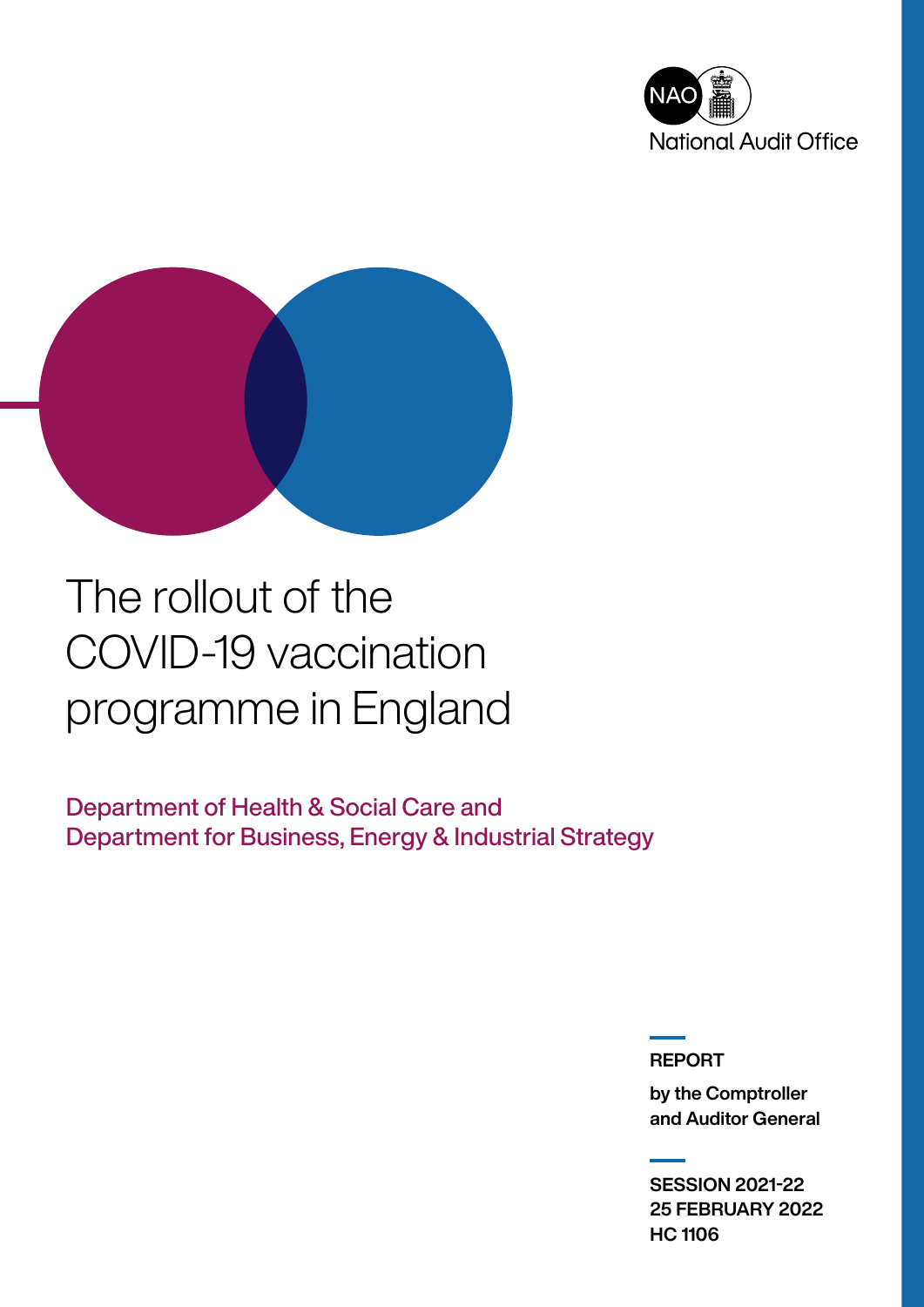



# The rollout of the COVID-19 vaccination programme in England

Department of Health & Social Care and Department for Business, Energy & Industrial Strategy

REPORT

by the Comptroller and Auditor General

SESSION 2021-22 25 FEBRUARY 2022 HC 1106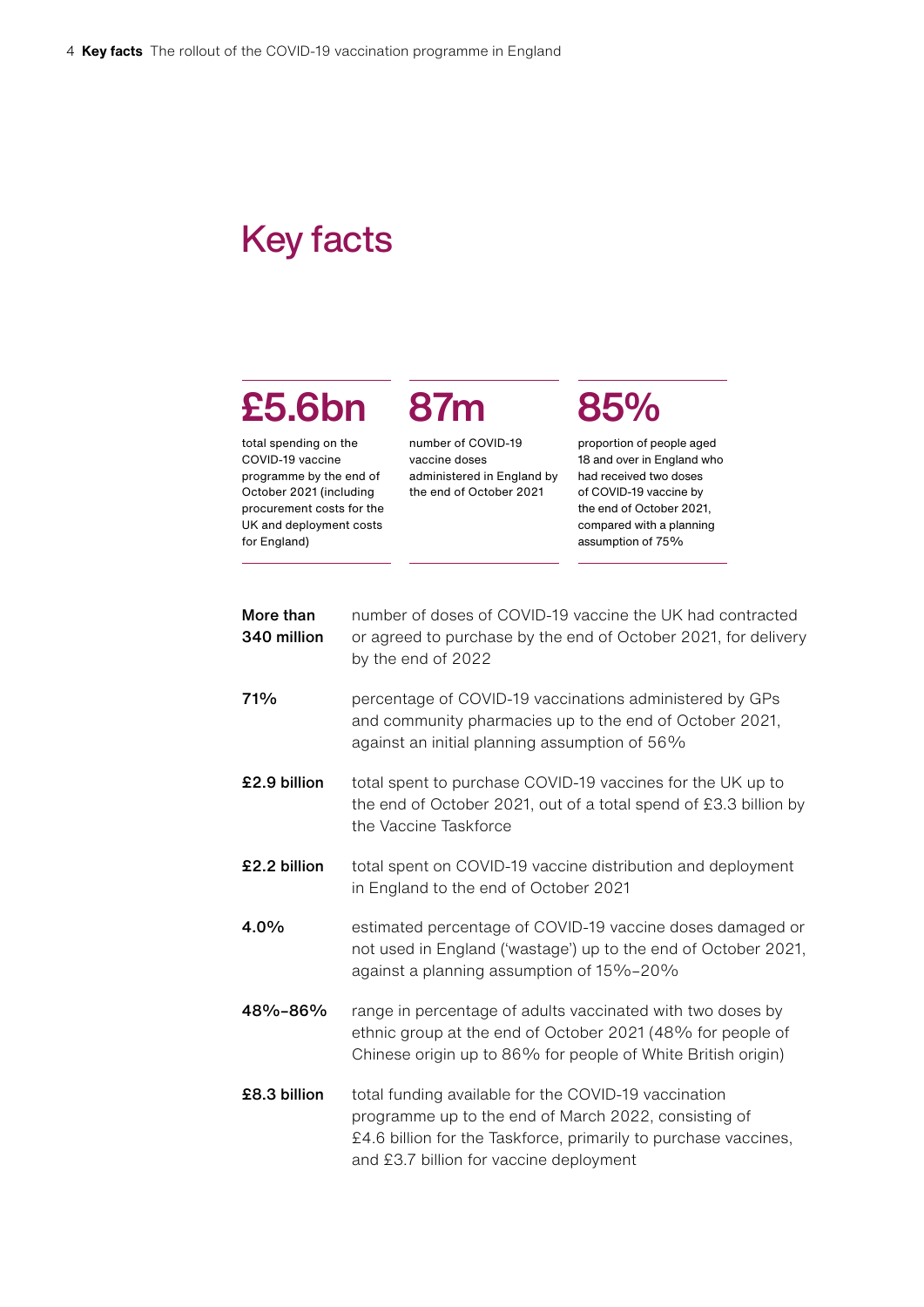### Key facts

# £5.6bn

total spending on the COVID-19 vaccine programme by the end of October 2021 (including procurement costs for the UK and deployment costs for England)

number of COVID-19 vaccine doses administered in England by the end of October 2021

87m

## 85%

proportion of people aged 18 and over in England who had received two doses of COVID-19 vaccine by the end of October 2021, compared with a planning assumption of 75%

| More than<br>340 million | number of doses of COVID-19 vaccine the UK had contracted<br>or agreed to purchase by the end of October 2021, for delivery<br>by the end of 2022                                                                          |
|--------------------------|----------------------------------------------------------------------------------------------------------------------------------------------------------------------------------------------------------------------------|
| 71%                      | percentage of COVID-19 vaccinations administered by GPs<br>and community pharmacies up to the end of October 2021,<br>against an initial planning assumption of 56%                                                        |
| £2.9 billion             | total spent to purchase COVID-19 vaccines for the UK up to<br>the end of October 2021, out of a total spend of £3.3 billion by<br>the Vaccine Taskforce                                                                    |
| £2.2 billion             | total spent on COVID-19 vaccine distribution and deployment<br>in England to the end of October 2021                                                                                                                       |
| 4.0%                     | estimated percentage of COVID-19 vaccine doses damaged or<br>not used in England ('wastage') up to the end of October 2021,<br>against a planning assumption of 15%-20%                                                    |
| 48%-86%                  | range in percentage of adults vaccinated with two doses by<br>ethnic group at the end of October 2021 (48% for people of<br>Chinese origin up to 86% for people of White British origin)                                   |
| £8.3 billion             | total funding available for the COVID-19 vaccination<br>programme up to the end of March 2022, consisting of<br>£4.6 billion for the Taskforce, primarily to purchase vaccines,<br>and £3.7 billion for vaccine deployment |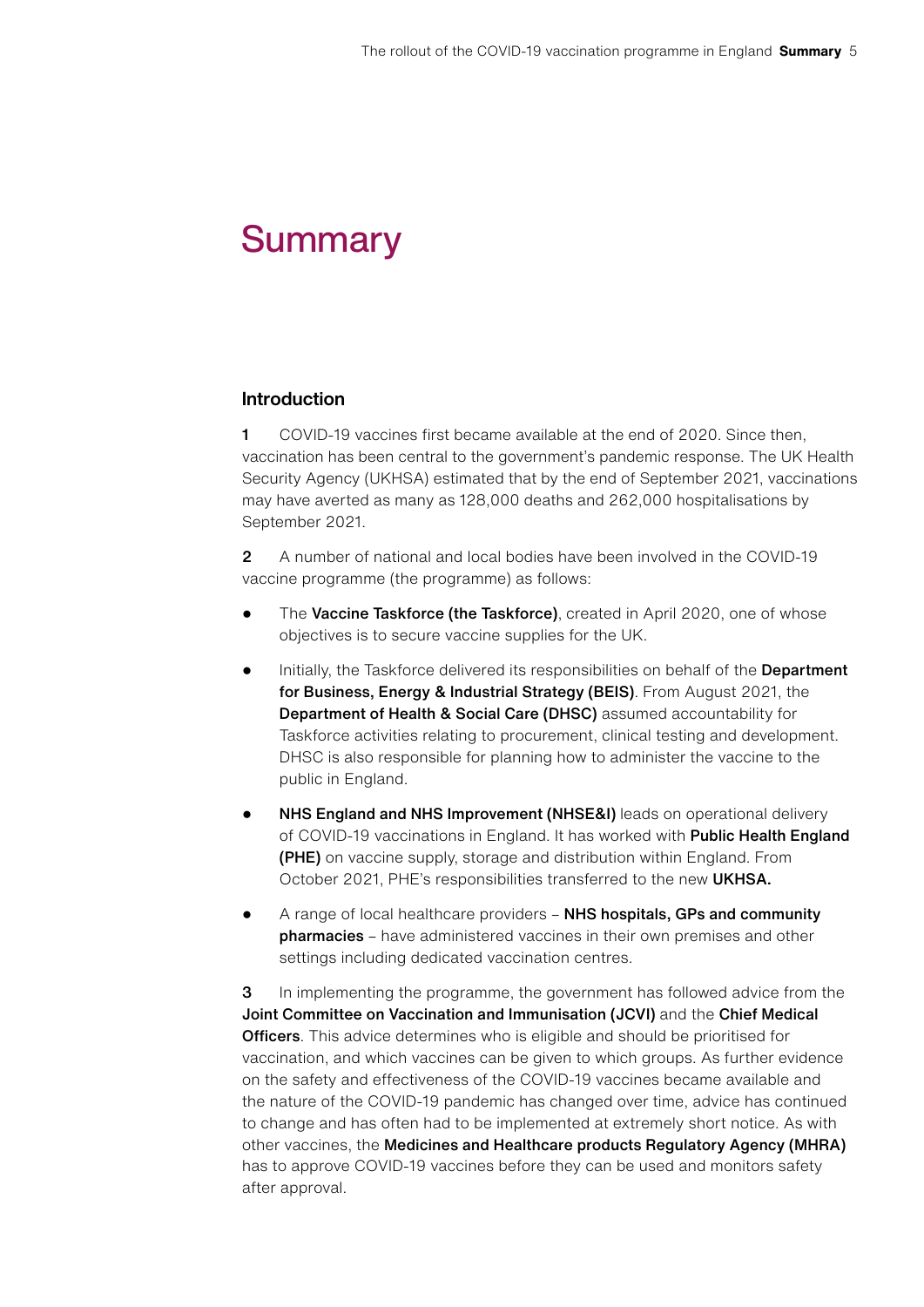### **Summary**

#### Introduction

1 COVID-19 vaccines first became available at the end of 2020. Since then, vaccination has been central to the government's pandemic response. The UK Health Security Agency (UKHSA) estimated that by the end of September 2021, vaccinations may have averted as many as 128,000 deaths and 262,000 hospitalisations by September 2021.

2 A number of national and local bodies have been involved in the COVID-19 vaccine programme (the programme) as follows:

- The Vaccine Taskforce (the Taskforce), created in April 2020, one of whose objectives is to secure vaccine supplies for the UK.
- Initially, the Taskforce delivered its responsibilities on behalf of the Department for Business, Energy & Industrial Strategy (BEIS). From August 2021, the Department of Health & Social Care (DHSC) assumed accountability for Taskforce activities relating to procurement, clinical testing and development. DHSC is also responsible for planning how to administer the vaccine to the public in England.
- NHS England and NHS Improvement (NHSE&I) leads on operational delivery of COVID-19 vaccinations in England. It has worked with Public Health England (PHE) on vaccine supply, storage and distribution within England. From October 2021, PHE's responsibilities transferred to the new UKHSA.
- A range of local healthcare providers NHS hospitals, GPs and community pharmacies – have administered vaccines in their own premises and other settings including dedicated vaccination centres.

**3** In implementing the programme, the government has followed advice from the Joint Committee on Vaccination and Immunisation (JCVI) and the Chief Medical Officers. This advice determines who is eligible and should be prioritised for vaccination, and which vaccines can be given to which groups. As further evidence on the safety and effectiveness of the COVID-19 vaccines became available and the nature of the COVID-19 pandemic has changed over time, advice has continued to change and has often had to be implemented at extremely short notice. As with other vaccines, the Medicines and Healthcare products Regulatory Agency (MHRA) has to approve COVID-19 vaccines before they can be used and monitors safety after approval.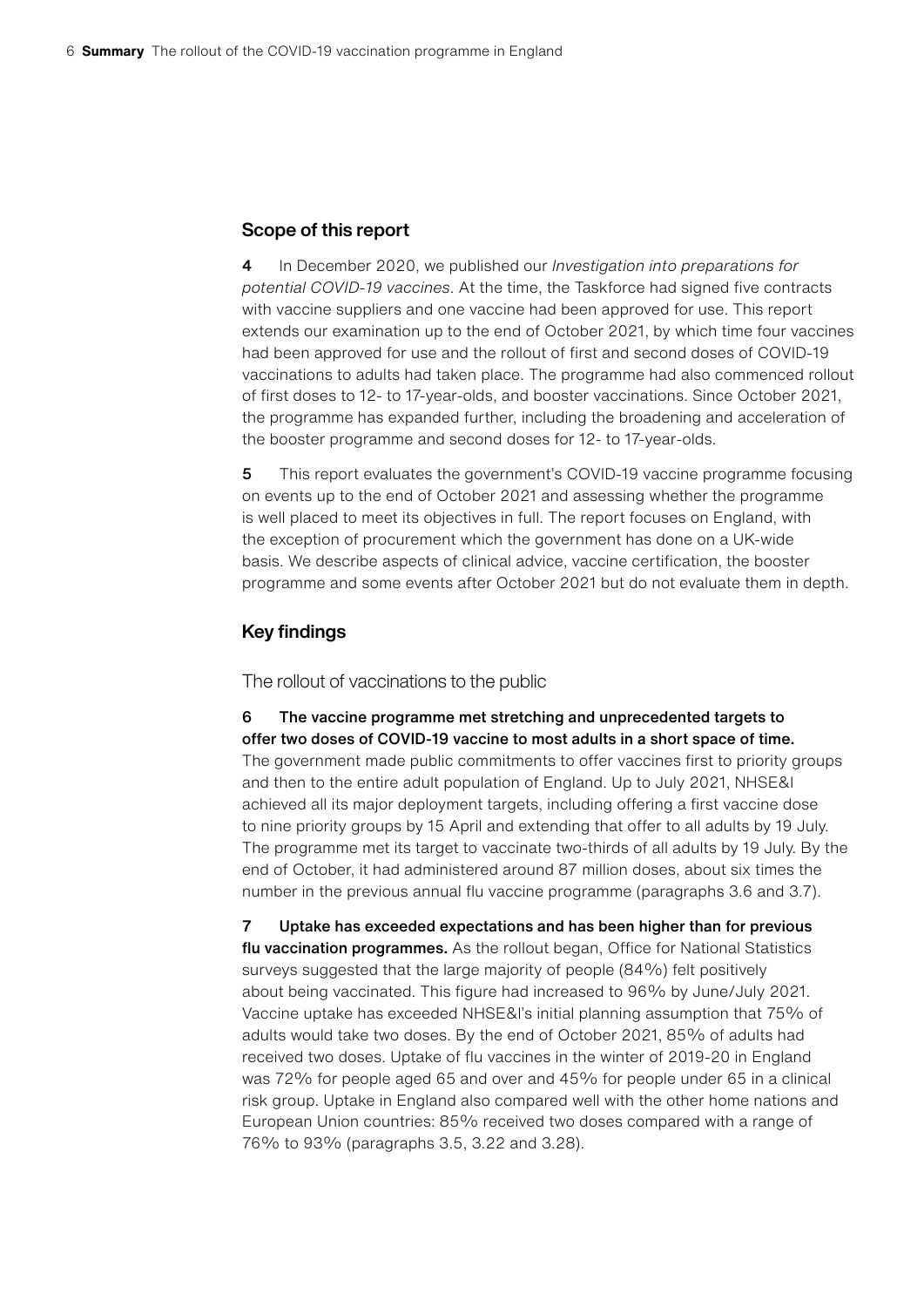#### Scope of this report

4 In December 2020, we published our *Investigation into preparations for potential COVID-19 vaccines*. At the time, the Taskforce had signed five contracts with vaccine suppliers and one vaccine had been approved for use. This report extends our examination up to the end of October 2021, by which time four vaccines had been approved for use and the rollout of first and second doses of COVID-19 vaccinations to adults had taken place. The programme had also commenced rollout of first doses to 12- to 17-year-olds, and booster vaccinations. Since October 2021, the programme has expanded further, including the broadening and acceleration of the booster programme and second doses for 12- to 17-year-olds.

5 This report evaluates the government's COVID-19 vaccine programme focusing on events up to the end of October 2021 and assessing whether the programme is well placed to meet its objectives in full. The report focuses on England, with the exception of procurement which the government has done on a UK-wide basis. We describe aspects of clinical advice, vaccine certification, the booster programme and some events after October 2021 but do not evaluate them in depth.

#### Key findings

The rollout of vaccinations to the public

6 The vaccine programme met stretching and unprecedented targets to offer two doses of COVID-19 vaccine to most adults in a short space of time. The government made public commitments to offer vaccines first to priority groups and then to the entire adult population of England. Up to July 2021, NHSE&I achieved all its major deployment targets, including offering a first vaccine dose to nine priority groups by 15 April and extending that offer to all adults by 19 July. The programme met its target to vaccinate two-thirds of all adults by 19 July. By the end of October, it had administered around 87 million doses, about six times the number in the previous annual flu vaccine programme (paragraphs 3.6 and 3.7).

7 Uptake has exceeded expectations and has been higher than for previous flu vaccination programmes. As the rollout began, Office for National Statistics surveys suggested that the large majority of people (84%) felt positively about being vaccinated. This figure had increased to 96% by June/July 2021. Vaccine uptake has exceeded NHSE&I's initial planning assumption that 75% of adults would take two doses. By the end of October 2021, 85% of adults had received two doses. Uptake of flu vaccines in the winter of 2019-20 in England was 72% for people aged 65 and over and 45% for people under 65 in a clinical risk group. Uptake in England also compared well with the other home nations and European Union countries: 85% received two doses compared with a range of 76% to 93% (paragraphs 3.5, 3.22 and 3.28).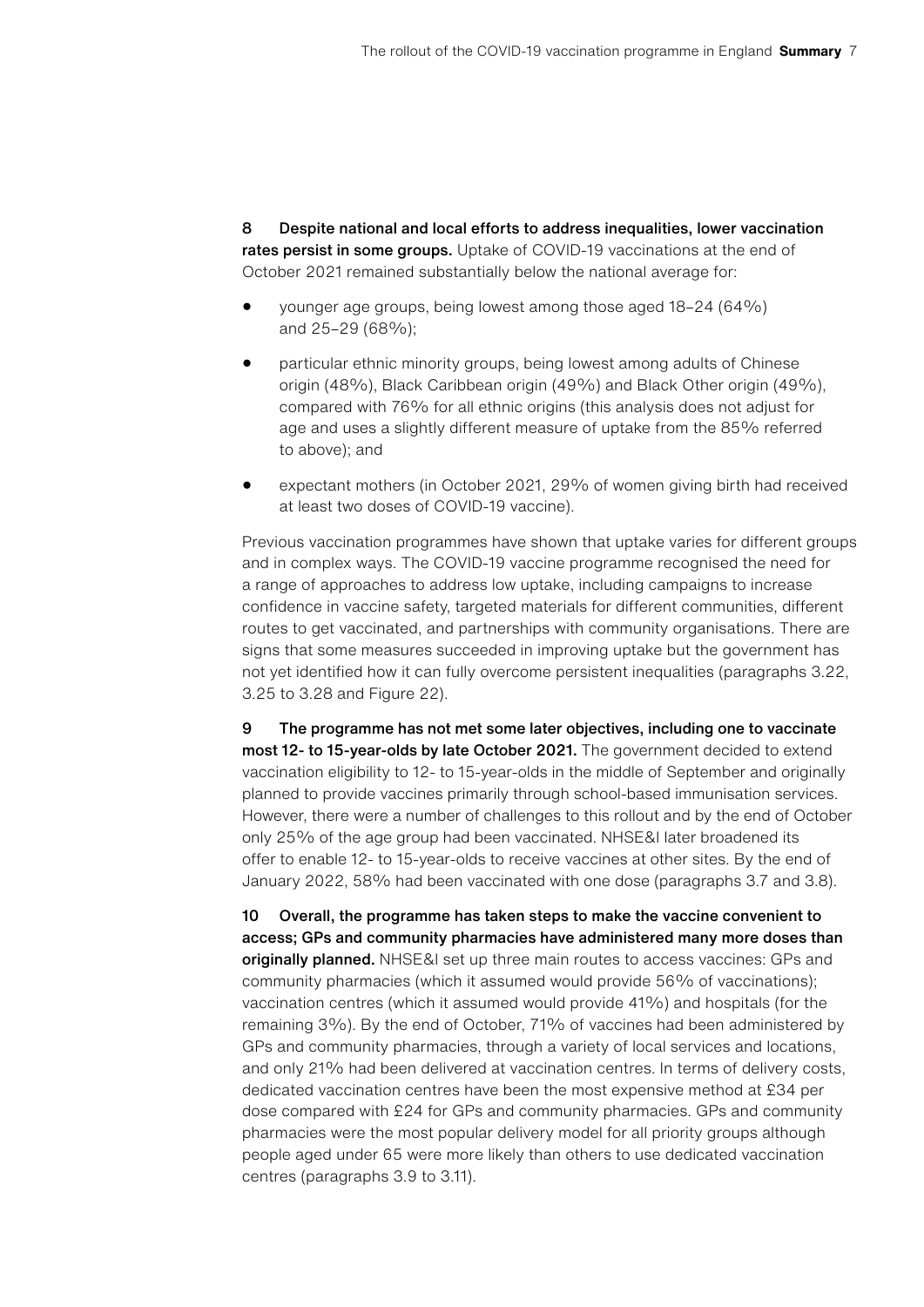8 Despite national and local efforts to address inequalities, lower vaccination rates persist in some groups. Uptake of COVID-19 vaccinations at the end of October 2021 remained substantially below the national average for:

- younger age groups, being lowest among those aged 18–24 (64%) and 25–29 (68%);
- particular ethnic minority groups, being lowest among adults of Chinese origin (48%), Black Caribbean origin (49%) and Black Other origin (49%), compared with 76% for all ethnic origins (this analysis does not adjust for age and uses a slightly different measure of uptake from the 85% referred to above); and
- expectant mothers (in October 2021, 29% of women giving birth had received at least two doses of COVID-19 vaccine).

Previous vaccination programmes have shown that uptake varies for different groups and in complex ways. The COVID-19 vaccine programme recognised the need for a range of approaches to address low uptake, including campaigns to increase confidence in vaccine safety, targeted materials for different communities, different routes to get vaccinated, and partnerships with community organisations. There are signs that some measures succeeded in improving uptake but the government has not yet identified how it can fully overcome persistent inequalities (paragraphs 3.22, 3.25 to 3.28 and Figure 22).

9 The programme has not met some later objectives, including one to vaccinate most 12- to 15-year-olds by late October 2021. The government decided to extend vaccination eligibility to 12- to 15-year-olds in the middle of September and originally planned to provide vaccines primarily through school-based immunisation services. However, there were a number of challenges to this rollout and by the end of October only 25% of the age group had been vaccinated. NHSE&I later broadened its offer to enable 12- to 15-year-olds to receive vaccines at other sites. By the end of January 2022, 58% had been vaccinated with one dose (paragraphs 3.7 and 3.8).

10 Overall, the programme has taken steps to make the vaccine convenient to access; GPs and community pharmacies have administered many more doses than originally planned. NHSE&I set up three main routes to access vaccines: GPs and community pharmacies (which it assumed would provide 56% of vaccinations); vaccination centres (which it assumed would provide 41%) and hospitals (for the remaining 3%). By the end of October, 71% of vaccines had been administered by GPs and community pharmacies, through a variety of local services and locations, and only 21% had been delivered at vaccination centres. In terms of delivery costs, dedicated vaccination centres have been the most expensive method at £34 per dose compared with £24 for GPs and community pharmacies. GPs and community pharmacies were the most popular delivery model for all priority groups although people aged under 65 were more likely than others to use dedicated vaccination centres (paragraphs 3.9 to 3.11).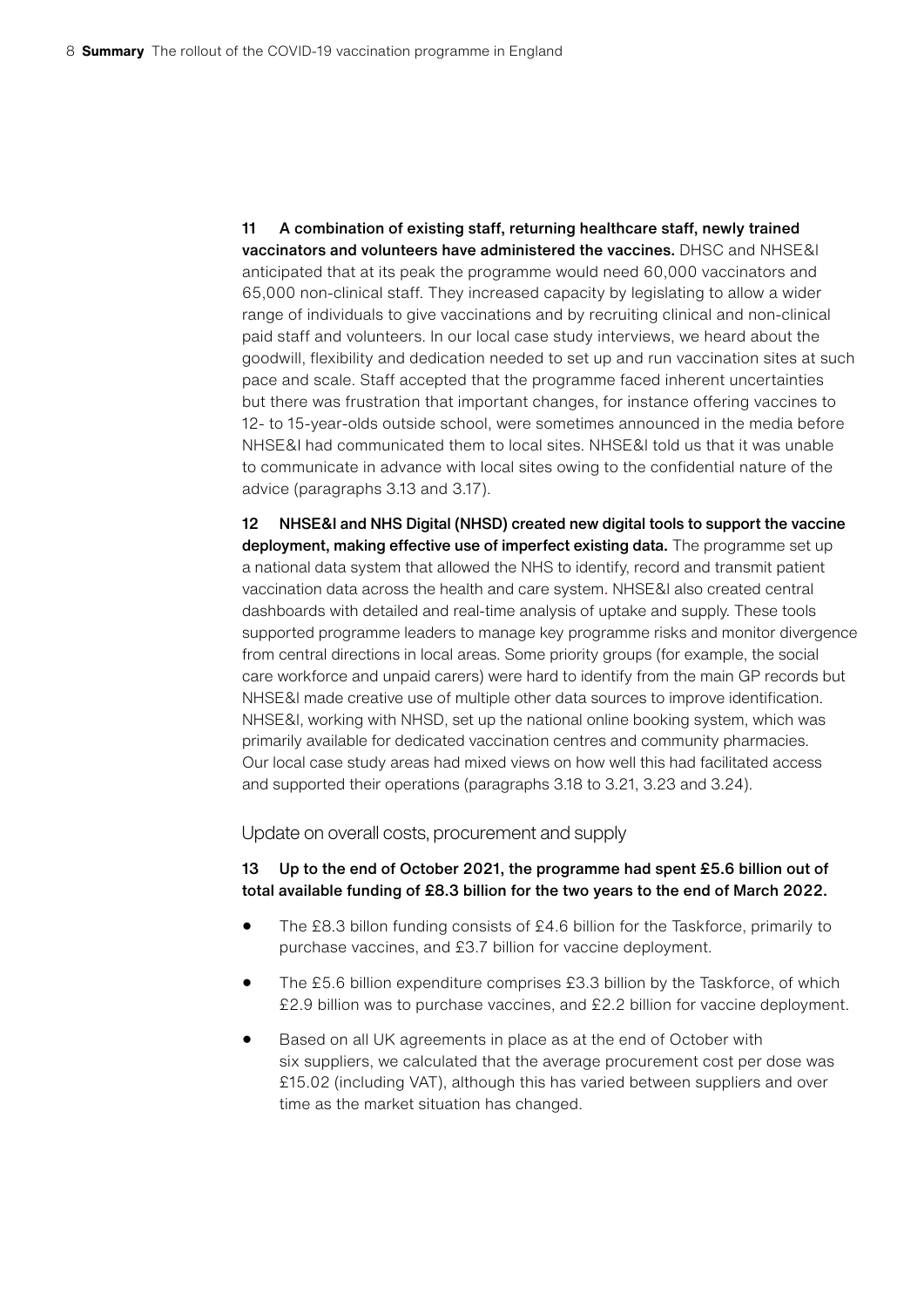11 A combination of existing staff, returning healthcare staff, newly trained vaccinators and volunteers have administered the vaccines. DHSC and NHSE&I anticipated that at its peak the programme would need 60,000 vaccinators and 65,000 non-clinical staff. They increased capacity by legislating to allow a wider range of individuals to give vaccinations and by recruiting clinical and non-clinical paid staff and volunteers. In our local case study interviews, we heard about the goodwill, flexibility and dedication needed to set up and run vaccination sites at such pace and scale. Staff accepted that the programme faced inherent uncertainties but there was frustration that important changes, for instance offering vaccines to 12- to 15-year-olds outside school, were sometimes announced in the media before NHSE&I had communicated them to local sites. NHSE&I told us that it was unable to communicate in advance with local sites owing to the confidential nature of the advice (paragraphs 3.13 and 3.17).

12 NHSE&I and NHS Digital (NHSD) created new digital tools to support the vaccine deployment, making effective use of imperfect existing data. The programme set up a national data system that allowed the NHS to identify, record and transmit patient vaccination data across the health and care system. NHSE&I also created central dashboards with detailed and real-time analysis of uptake and supply. These tools supported programme leaders to manage key programme risks and monitor divergence from central directions in local areas. Some priority groups (for example, the social care workforce and unpaid carers) were hard to identify from the main GP records but NHSE&I made creative use of multiple other data sources to improve identification. NHSE&I, working with NHSD, set up the national online booking system, which was primarily available for dedicated vaccination centres and community pharmacies. Our local case study areas had mixed views on how well this had facilitated access and supported their operations (paragraphs 3.18 to 3.21, 3.23 and 3.24).

Update on overall costs, procurement and supply

#### 13 Up to the end of October 2021, the programme had spent £5.6 billion out of total available funding of £8.3 billion for the two years to the end of March 2022.

- The £8.3 billon funding consists of £4.6 billion for the Taskforce, primarily to purchase vaccines, and £3.7 billion for vaccine deployment.
- The £5.6 billion expenditure comprises £3.3 billion by the Taskforce, of which £2.9 billion was to purchase vaccines, and £2.2 billion for vaccine deployment.
- Based on all UK agreements in place as at the end of October with six suppliers, we calculated that the average procurement cost per dose was £15.02 (including VAT), although this has varied between suppliers and over time as the market situation has changed.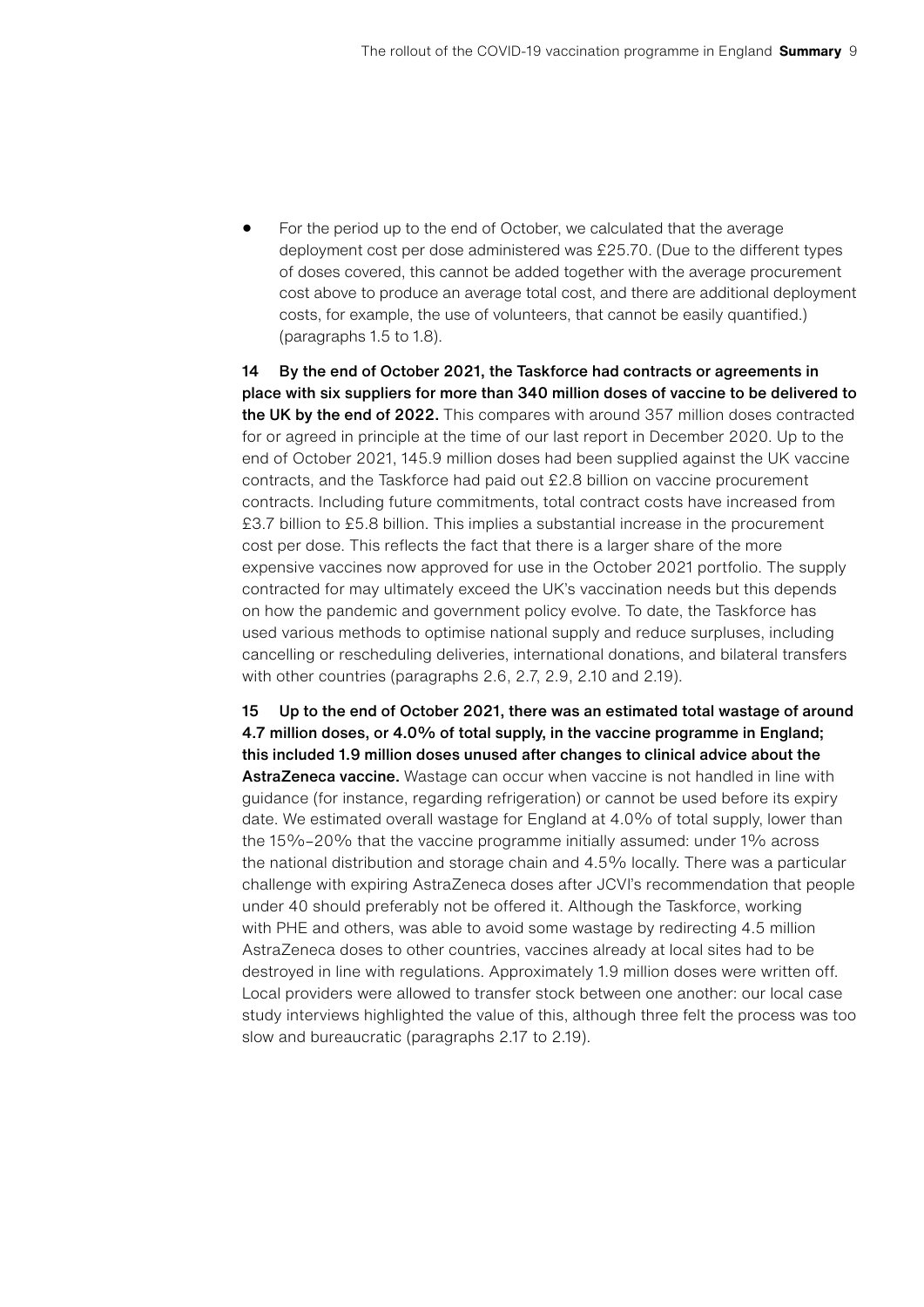• For the period up to the end of October, we calculated that the average deployment cost per dose administered was £25.70. (Due to the different types of doses covered, this cannot be added together with the average procurement cost above to produce an average total cost, and there are additional deployment costs, for example, the use of volunteers, that cannot be easily quantified.) (paragraphs 1.5 to 1.8).

14 By the end of October 2021, the Taskforce had contracts or agreements in place with six suppliers for more than 340 million doses of vaccine to be delivered to the UK by the end of 2022. This compares with around 357 million doses contracted for or agreed in principle at the time of our last report in December 2020. Up to the end of October 2021, 145.9 million doses had been supplied against the UK vaccine contracts, and the Taskforce had paid out £2.8 billion on vaccine procurement contracts. Including future commitments, total contract costs have increased from £3.7 billion to £5.8 billion. This implies a substantial increase in the procurement cost per dose. This reflects the fact that there is a larger share of the more expensive vaccines now approved for use in the October 2021 portfolio. The supply contracted for may ultimately exceed the UK's vaccination needs but this depends on how the pandemic and government policy evolve. To date, the Taskforce has used various methods to optimise national supply and reduce surpluses, including cancelling or rescheduling deliveries, international donations, and bilateral transfers with other countries (paragraphs 2.6, 2.7, 2.9, 2.10 and 2.19).

15 Up to the end of October 2021, there was an estimated total wastage of around 4.7 million doses, or 4.0% of total supply, in the vaccine programme in England; this included 1.9 million doses unused after changes to clinical advice about the AstraZeneca vaccine. Wastage can occur when vaccine is not handled in line with guidance (for instance, regarding refrigeration) or cannot be used before its expiry date. We estimated overall wastage for England at 4.0% of total supply, lower than the 15%–20% that the vaccine programme initially assumed: under 1% across the national distribution and storage chain and 4.5% locally. There was a particular challenge with expiring AstraZeneca doses after JCVI's recommendation that people under 40 should preferably not be offered it. Although the Taskforce, working with PHE and others, was able to avoid some wastage by redirecting 4.5 million AstraZeneca doses to other countries, vaccines already at local sites had to be destroyed in line with regulations. Approximately 1.9 million doses were written off. Local providers were allowed to transfer stock between one another: our local case study interviews highlighted the value of this, although three felt the process was too slow and bureaucratic (paragraphs 2.17 to 2.19).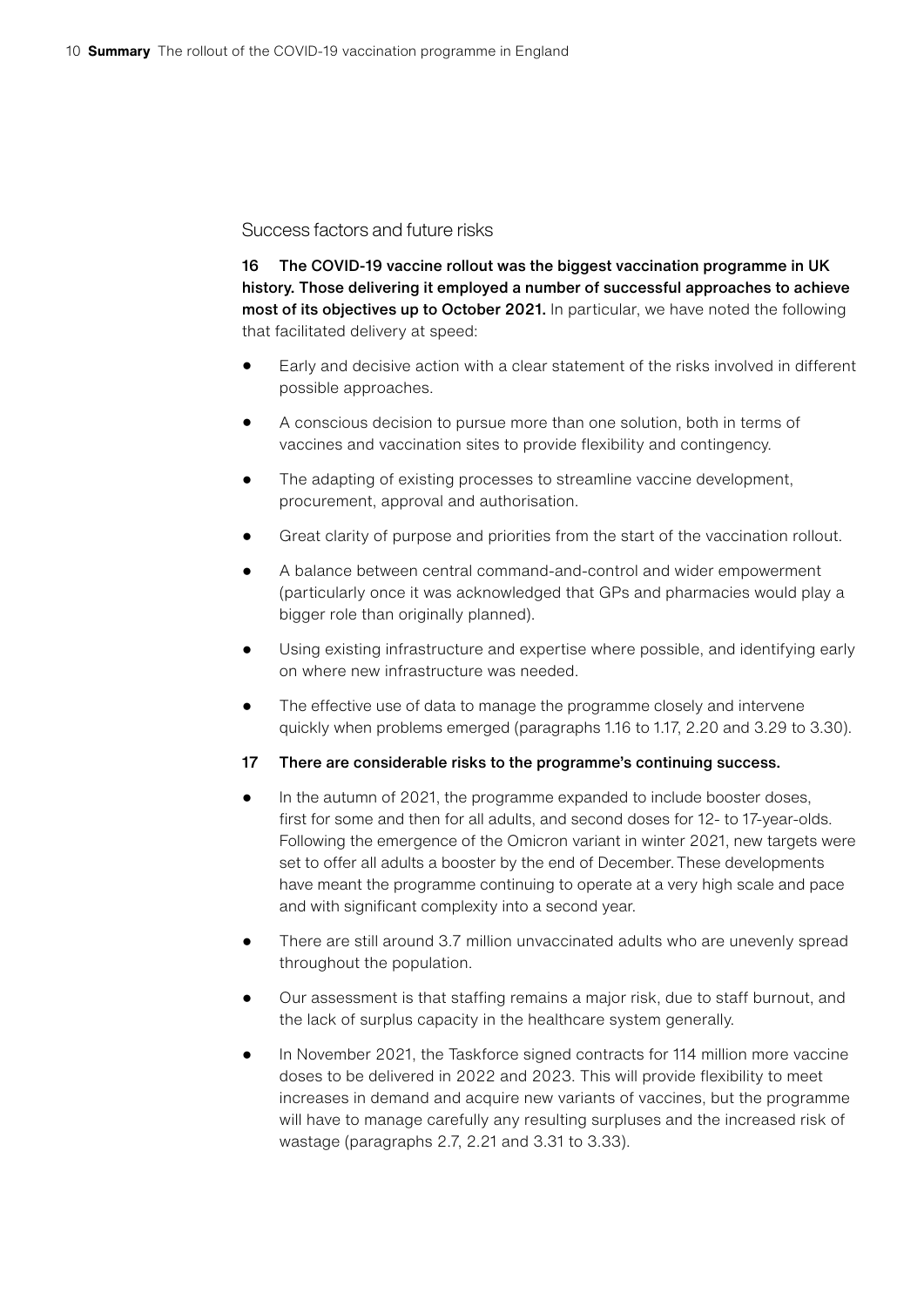#### Success factors and future risks

16 The COVID-19 vaccine rollout was the biggest vaccination programme in UK history. Those delivering it employed a number of successful approaches to achieve most of its objectives up to October 2021. In particular, we have noted the following that facilitated delivery at speed:

- Early and decisive action with a clear statement of the risks involved in different possible approaches.
- A conscious decision to pursue more than one solution, both in terms of vaccines and vaccination sites to provide flexibility and contingency.
- The adapting of existing processes to streamline vaccine development, procurement, approval and authorisation.
- Great clarity of purpose and priorities from the start of the vaccination rollout.
- A balance between central command-and-control and wider empowerment (particularly once it was acknowledged that GPs and pharmacies would play a bigger role than originally planned).
- Using existing infrastructure and expertise where possible, and identifying early on where new infrastructure was needed.
- The effective use of data to manage the programme closely and intervene quickly when problems emerged (paragraphs 1.16 to 1.17, 2.20 and 3.29 to 3.30).
- 17 There are considerable risks to the programme's continuing success.
- In the autumn of 2021, the programme expanded to include booster doses, first for some and then for all adults, and second doses for 12- to 17-year-olds. Following the emergence of the Omicron variant in winter 2021, new targets were set to offer all adults a booster by the end of December.These developments have meant the programme continuing to operate at a very high scale and pace and with significant complexity into a second year.
- There are still around 3.7 million unvaccinated adults who are unevenly spread throughout the population.
- Our assessment is that staffing remains a major risk, due to staff burnout, and the lack of surplus capacity in the healthcare system generally.
- In November 2021, the Taskforce signed contracts for 114 million more vaccine doses to be delivered in 2022 and 2023. This will provide flexibility to meet increases in demand and acquire new variants of vaccines, but the programme will have to manage carefully any resulting surpluses and the increased risk of wastage (paragraphs 2.7, 2.21 and 3.31 to 3.33).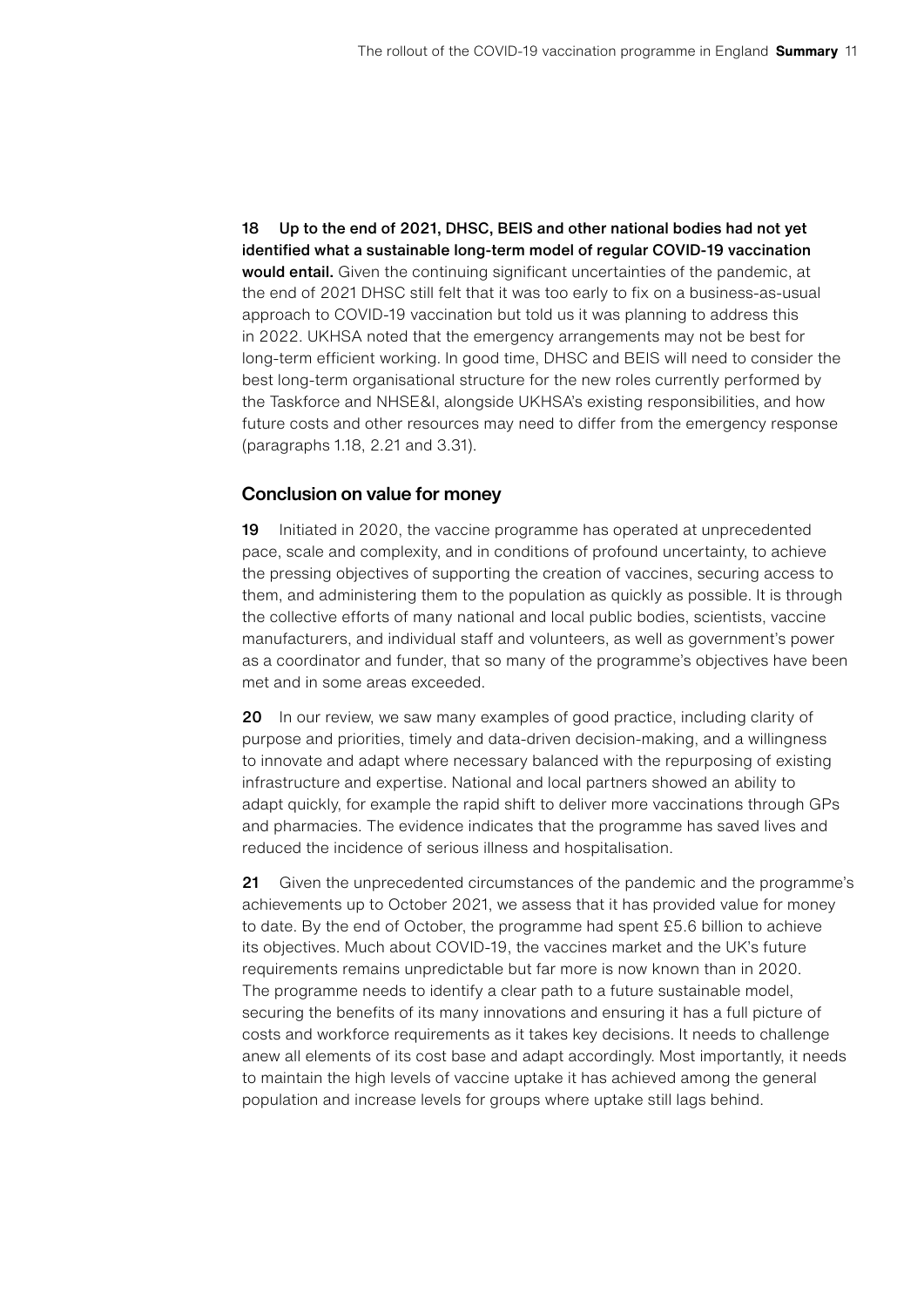18 Up to the end of 2021, DHSC, BEIS and other national bodies had not yet identified what a sustainable long-term model of regular COVID-19 vaccination would entail. Given the continuing significant uncertainties of the pandemic, at the end of 2021 DHSC still felt that it was too early to fix on a business-as-usual approach to COVID-19 vaccination but told us it was planning to address this in 2022. UKHSA noted that the emergency arrangements may not be best for long-term efficient working. In good time, DHSC and BEIS will need to consider the best long-term organisational structure for the new roles currently performed by the Taskforce and NHSE&I, alongside UKHSA's existing responsibilities, and how future costs and other resources may need to differ from the emergency response (paragraphs 1.18, 2.21 and 3.31).

#### Conclusion on value for money

19 Initiated in 2020, the vaccine programme has operated at unprecedented pace, scale and complexity, and in conditions of profound uncertainty, to achieve the pressing objectives of supporting the creation of vaccines, securing access to them, and administering them to the population as quickly as possible. It is through the collective efforts of many national and local public bodies, scientists, vaccine manufacturers, and individual staff and volunteers, as well as government's power as a coordinator and funder, that so many of the programme's objectives have been met and in some areas exceeded.

20 In our review, we saw many examples of good practice, including clarity of purpose and priorities, timely and data-driven decision-making, and a willingness to innovate and adapt where necessary balanced with the repurposing of existing infrastructure and expertise. National and local partners showed an ability to adapt quickly, for example the rapid shift to deliver more vaccinations through GPs and pharmacies. The evidence indicates that the programme has saved lives and reduced the incidence of serious illness and hospitalisation.

21 Given the unprecedented circumstances of the pandemic and the programme's achievements up to October 2021, we assess that it has provided value for money to date. By the end of October, the programme had spent £5.6 billion to achieve its objectives. Much about COVID-19, the vaccines market and the UK's future requirements remains unpredictable but far more is now known than in 2020. The programme needs to identify a clear path to a future sustainable model, securing the benefits of its many innovations and ensuring it has a full picture of costs and workforce requirements as it takes key decisions. It needs to challenge anew all elements of its cost base and adapt accordingly. Most importantly, it needs to maintain the high levels of vaccine uptake it has achieved among the general population and increase levels for groups where uptake still lags behind.